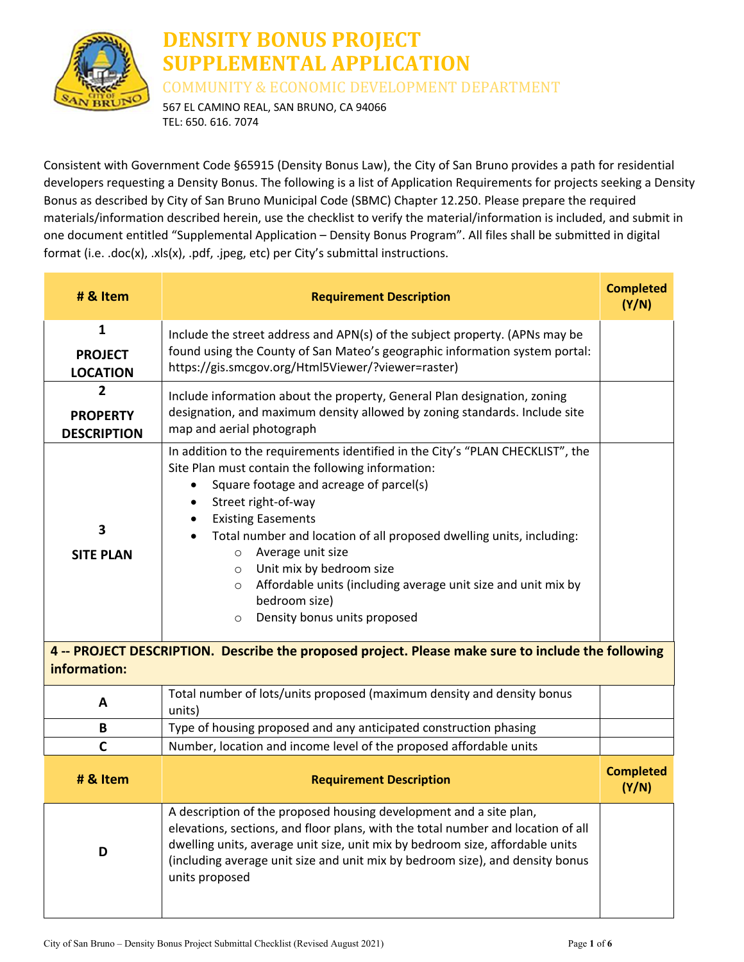

## **DENSITY BONUS PROJECT SUPPLEMENTAL APPLICATION**

COMMUNITY & ECONOMIC DEVELOPMENT DEPARTMENT

567 EL CAMINO REAL, SAN BRUNO, CA 94066 TEL: 650. 616. 7074

Consistent with Government Code §65915 (Density Bonus Law), the City of San Bruno provides a path for residential developers requesting a Density Bonus. The following is a list of Application Requirements for projects seeking a Density Bonus as described by City of San Bruno Municipal Code (SBMC) Chapter 12.250. Please prepare the required materials/information described herein, use the checklist to verify the material/information is included, and submit in one document entitled "Supplemental Application – Density Bonus Program". All files shall be submitted in digital format (i.e. .doc(x), .xls(x), .pdf, .jpeg, etc) per City's submittal instructions.

| # & Item                                                                                                           | <b>Requirement Description</b>                                                                                                                                                                                                                                                                                                                                                                                                                                                                                                   | <b>Completed</b><br>(Y/N) |
|--------------------------------------------------------------------------------------------------------------------|----------------------------------------------------------------------------------------------------------------------------------------------------------------------------------------------------------------------------------------------------------------------------------------------------------------------------------------------------------------------------------------------------------------------------------------------------------------------------------------------------------------------------------|---------------------------|
| 1<br><b>PROJECT</b><br><b>LOCATION</b>                                                                             | Include the street address and APN(s) of the subject property. (APNs may be<br>found using the County of San Mateo's geographic information system portal:<br>https://gis.smcgov.org/Html5Viewer/?viewer=raster)                                                                                                                                                                                                                                                                                                                 |                           |
| $\overline{2}$<br><b>PROPERTY</b><br><b>DESCRIPTION</b>                                                            | Include information about the property, General Plan designation, zoning<br>designation, and maximum density allowed by zoning standards. Include site<br>map and aerial photograph                                                                                                                                                                                                                                                                                                                                              |                           |
| 3<br><b>SITE PLAN</b>                                                                                              | In addition to the requirements identified in the City's "PLAN CHECKLIST", the<br>Site Plan must contain the following information:<br>Square footage and acreage of parcel(s)<br>Street right-of-way<br>$\bullet$<br><b>Existing Easements</b><br>Total number and location of all proposed dwelling units, including:<br>Average unit size<br>$\circ$<br>Unit mix by bedroom size<br>$\circ$<br>Affordable units (including average unit size and unit mix by<br>O<br>bedroom size)<br>Density bonus units proposed<br>$\circ$ |                           |
| 4 -- PROJECT DESCRIPTION. Describe the proposed project. Please make sure to include the following<br>information: |                                                                                                                                                                                                                                                                                                                                                                                                                                                                                                                                  |                           |
| A                                                                                                                  | Total number of lots/units proposed (maximum density and density bonus<br>units)                                                                                                                                                                                                                                                                                                                                                                                                                                                 |                           |
| B                                                                                                                  | Type of housing proposed and any anticipated construction phasing                                                                                                                                                                                                                                                                                                                                                                                                                                                                |                           |
| C                                                                                                                  | Number, location and income level of the proposed affordable units                                                                                                                                                                                                                                                                                                                                                                                                                                                               |                           |
| # & Item                                                                                                           | <b>Requirement Description</b>                                                                                                                                                                                                                                                                                                                                                                                                                                                                                                   | <b>Completed</b><br>(Y/N) |
| D                                                                                                                  | A description of the proposed housing development and a site plan,<br>elevations, sections, and floor plans, with the total number and location of all<br>dwelling units, average unit size, unit mix by bedroom size, affordable units<br>(including average unit size and unit mix by bedroom size), and density bonus<br>units proposed                                                                                                                                                                                       |                           |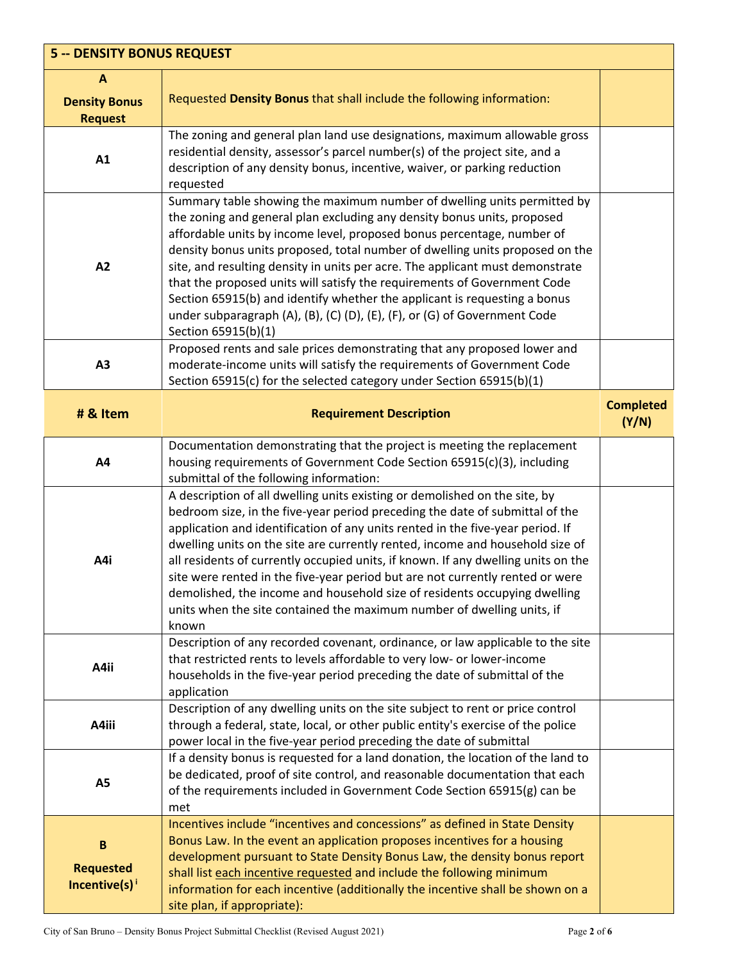| <b>5 -- DENSITY BONUS REQUEST</b>                             |                                                                                                                                                                                                                                                                                                                                                                                                                                                                                                                                                                                                                                                                     |                           |
|---------------------------------------------------------------|---------------------------------------------------------------------------------------------------------------------------------------------------------------------------------------------------------------------------------------------------------------------------------------------------------------------------------------------------------------------------------------------------------------------------------------------------------------------------------------------------------------------------------------------------------------------------------------------------------------------------------------------------------------------|---------------------------|
| $\mathbf{A}$<br><b>Density Bonus</b><br><b>Request</b>        | Requested Density Bonus that shall include the following information:                                                                                                                                                                                                                                                                                                                                                                                                                                                                                                                                                                                               |                           |
| A1                                                            | The zoning and general plan land use designations, maximum allowable gross<br>residential density, assessor's parcel number(s) of the project site, and a<br>description of any density bonus, incentive, waiver, or parking reduction<br>requested                                                                                                                                                                                                                                                                                                                                                                                                                 |                           |
| A2                                                            | Summary table showing the maximum number of dwelling units permitted by<br>the zoning and general plan excluding any density bonus units, proposed<br>affordable units by income level, proposed bonus percentage, number of<br>density bonus units proposed, total number of dwelling units proposed on the<br>site, and resulting density in units per acre. The applicant must demonstrate<br>that the proposed units will satisfy the requirements of Government Code<br>Section 65915(b) and identify whether the applicant is requesting a bonus<br>under subparagraph (A), (B), (C) (D), (E), (F), or (G) of Government Code<br>Section 65915(b)(1)          |                           |
| A3                                                            | Proposed rents and sale prices demonstrating that any proposed lower and<br>moderate-income units will satisfy the requirements of Government Code<br>Section 65915(c) for the selected category under Section 65915(b)(1)                                                                                                                                                                                                                                                                                                                                                                                                                                          |                           |
| # & Item                                                      | <b>Requirement Description</b>                                                                                                                                                                                                                                                                                                                                                                                                                                                                                                                                                                                                                                      | <b>Completed</b><br>(Y/N) |
| A4                                                            | Documentation demonstrating that the project is meeting the replacement<br>housing requirements of Government Code Section 65915(c)(3), including<br>submittal of the following information:                                                                                                                                                                                                                                                                                                                                                                                                                                                                        |                           |
| A4i                                                           | A description of all dwelling units existing or demolished on the site, by<br>bedroom size, in the five-year period preceding the date of submittal of the<br>application and identification of any units rented in the five-year period. If<br>dwelling units on the site are currently rented, income and household size of<br>all residents of currently occupied units, if known. If any dwelling units on the<br>site were rented in the five-year period but are not currently rented or were<br>demolished, the income and household size of residents occupying dwelling<br>units when the site contained the maximum number of dwelling units, if<br>known |                           |
| A4ii                                                          | Description of any recorded covenant, ordinance, or law applicable to the site<br>that restricted rents to levels affordable to very low- or lower-income<br>households in the five-year period preceding the date of submittal of the<br>application                                                                                                                                                                                                                                                                                                                                                                                                               |                           |
| A4iii                                                         | Description of any dwelling units on the site subject to rent or price control<br>through a federal, state, local, or other public entity's exercise of the police<br>power local in the five-year period preceding the date of submittal                                                                                                                                                                                                                                                                                                                                                                                                                           |                           |
| <b>A5</b>                                                     | If a density bonus is requested for a land donation, the location of the land to<br>be dedicated, proof of site control, and reasonable documentation that each<br>of the requirements included in Government Code Section 65915(g) can be<br>met                                                                                                                                                                                                                                                                                                                                                                                                                   |                           |
| $\, {\bf B}$<br><b>Requested</b><br>Incentive(s) <sup>i</sup> | Incentives include "incentives and concessions" as defined in State Density<br>Bonus Law. In the event an application proposes incentives for a housing<br>development pursuant to State Density Bonus Law, the density bonus report<br>shall list each incentive requested and include the following minimum<br>information for each incentive (additionally the incentive shall be shown on a<br>site plan, if appropriate):                                                                                                                                                                                                                                      |                           |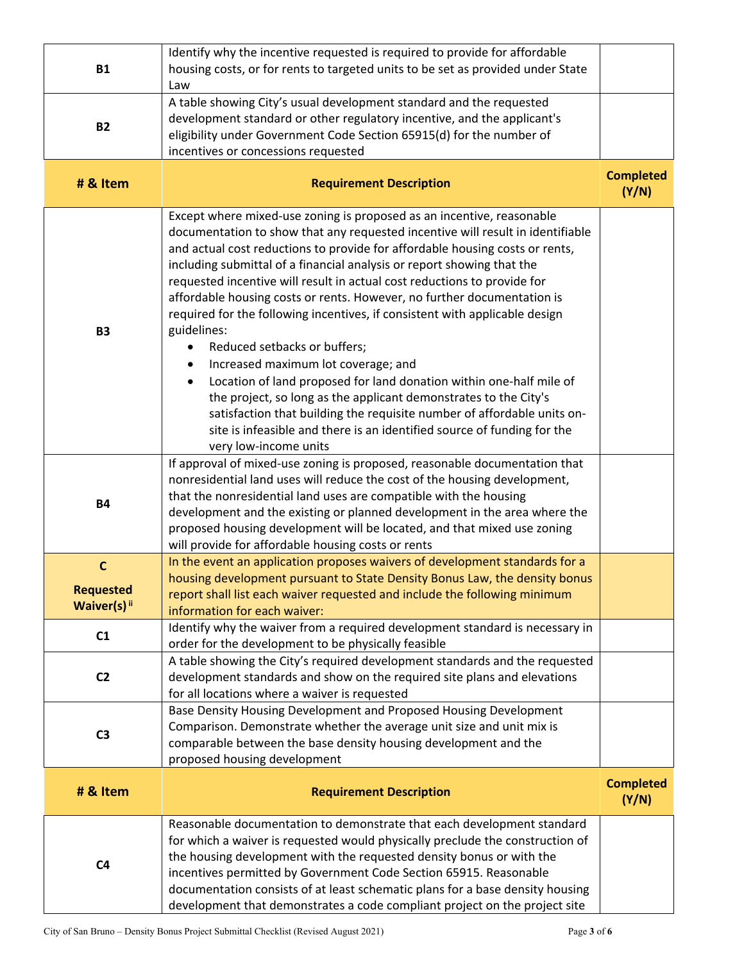| <b>B1</b>                                       | Identify why the incentive requested is required to provide for affordable<br>housing costs, or for rents to targeted units to be set as provided under State<br>Law                                                                                                                                                                                                                                                                                                                                                                                                                                                                                                                                                                                                                                                                                                                                                                                                                              |                           |
|-------------------------------------------------|---------------------------------------------------------------------------------------------------------------------------------------------------------------------------------------------------------------------------------------------------------------------------------------------------------------------------------------------------------------------------------------------------------------------------------------------------------------------------------------------------------------------------------------------------------------------------------------------------------------------------------------------------------------------------------------------------------------------------------------------------------------------------------------------------------------------------------------------------------------------------------------------------------------------------------------------------------------------------------------------------|---------------------------|
| <b>B2</b>                                       | A table showing City's usual development standard and the requested<br>development standard or other regulatory incentive, and the applicant's<br>eligibility under Government Code Section 65915(d) for the number of<br>incentives or concessions requested                                                                                                                                                                                                                                                                                                                                                                                                                                                                                                                                                                                                                                                                                                                                     |                           |
| # & Item                                        | <b>Requirement Description</b>                                                                                                                                                                                                                                                                                                                                                                                                                                                                                                                                                                                                                                                                                                                                                                                                                                                                                                                                                                    | <b>Completed</b><br>(Y/N) |
| <b>B3</b>                                       | Except where mixed-use zoning is proposed as an incentive, reasonable<br>documentation to show that any requested incentive will result in identifiable<br>and actual cost reductions to provide for affordable housing costs or rents,<br>including submittal of a financial analysis or report showing that the<br>requested incentive will result in actual cost reductions to provide for<br>affordable housing costs or rents. However, no further documentation is<br>required for the following incentives, if consistent with applicable design<br>guidelines:<br>Reduced setbacks or buffers;<br>Increased maximum lot coverage; and<br>$\bullet$<br>Location of land proposed for land donation within one-half mile of<br>$\bullet$<br>the project, so long as the applicant demonstrates to the City's<br>satisfaction that building the requisite number of affordable units on-<br>site is infeasible and there is an identified source of funding for the<br>very low-income units |                           |
| <b>B4</b>                                       | If approval of mixed-use zoning is proposed, reasonable documentation that<br>nonresidential land uses will reduce the cost of the housing development,<br>that the nonresidential land uses are compatible with the housing<br>development and the existing or planned development in the area where the<br>proposed housing development will be located, and that mixed use zoning<br>will provide for affordable housing costs or rents                                                                                                                                                                                                                                                                                                                                                                                                                                                                                                                                                        |                           |
| $\mathbf c$<br><b>Requested</b><br>Waiver(s) ii | In the event an application proposes waivers of development standards for a<br>housing development pursuant to State Density Bonus Law, the density bonus<br>report shall list each waiver requested and include the following minimum<br>information for each waiver:                                                                                                                                                                                                                                                                                                                                                                                                                                                                                                                                                                                                                                                                                                                            |                           |
| C1                                              | Identify why the waiver from a required development standard is necessary in<br>order for the development to be physically feasible                                                                                                                                                                                                                                                                                                                                                                                                                                                                                                                                                                                                                                                                                                                                                                                                                                                               |                           |
| C <sub>2</sub>                                  | A table showing the City's required development standards and the requested<br>development standards and show on the required site plans and elevations<br>for all locations where a waiver is requested                                                                                                                                                                                                                                                                                                                                                                                                                                                                                                                                                                                                                                                                                                                                                                                          |                           |
| C <sub>3</sub>                                  | Base Density Housing Development and Proposed Housing Development<br>Comparison. Demonstrate whether the average unit size and unit mix is<br>comparable between the base density housing development and the<br>proposed housing development                                                                                                                                                                                                                                                                                                                                                                                                                                                                                                                                                                                                                                                                                                                                                     |                           |
| # & Item                                        | <b>Requirement Description</b>                                                                                                                                                                                                                                                                                                                                                                                                                                                                                                                                                                                                                                                                                                                                                                                                                                                                                                                                                                    | <b>Completed</b><br>(Y/N) |
| C <sub>4</sub>                                  | Reasonable documentation to demonstrate that each development standard<br>for which a waiver is requested would physically preclude the construction of<br>the housing development with the requested density bonus or with the<br>incentives permitted by Government Code Section 65915. Reasonable<br>documentation consists of at least schematic plans for a base density housing<br>development that demonstrates a code compliant project on the project site                                                                                                                                                                                                                                                                                                                                                                                                                                                                                                                               |                           |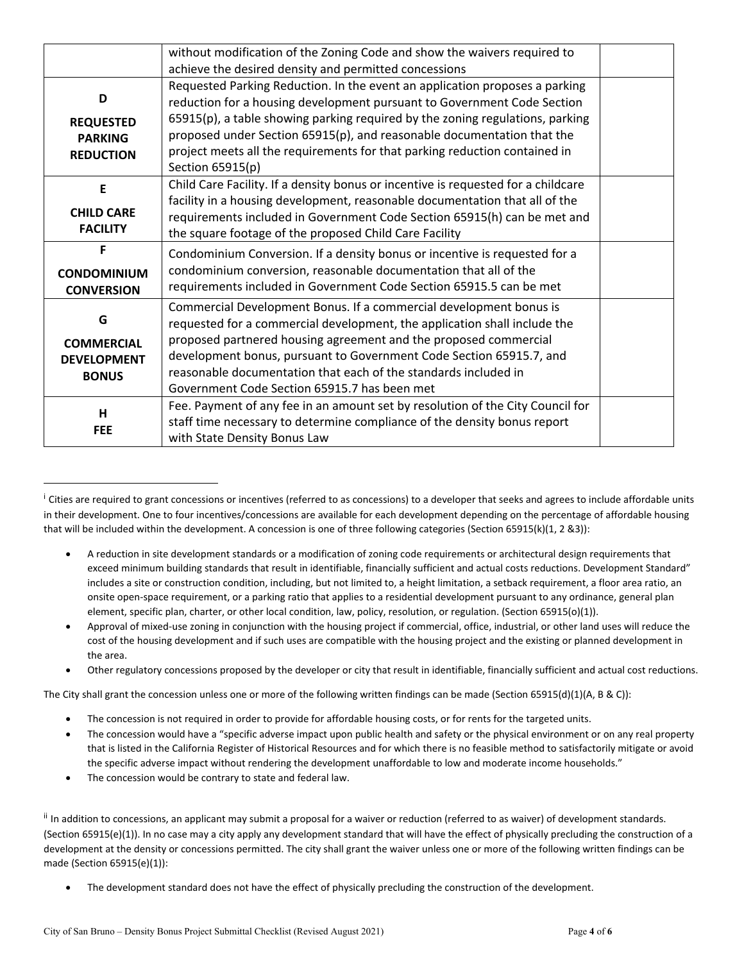|                                              | without modification of the Zoning Code and show the waivers required to                                                                                                                                              |  |
|----------------------------------------------|-----------------------------------------------------------------------------------------------------------------------------------------------------------------------------------------------------------------------|--|
|                                              | achieve the desired density and permitted concessions                                                                                                                                                                 |  |
| D                                            | Requested Parking Reduction. In the event an application proposes a parking<br>reduction for a housing development pursuant to Government Code Section                                                                |  |
| <b>REQUESTED</b>                             | 65915(p), a table showing parking required by the zoning regulations, parking                                                                                                                                         |  |
| <b>PARKING</b>                               | proposed under Section 65915(p), and reasonable documentation that the                                                                                                                                                |  |
| <b>REDUCTION</b>                             | project meets all the requirements for that parking reduction contained in<br>Section 65915(p)                                                                                                                        |  |
| E                                            | Child Care Facility. If a density bonus or incentive is requested for a childcare                                                                                                                                     |  |
| <b>CHILD CARE</b><br><b>FACILITY</b>         | facility in a housing development, reasonable documentation that all of the<br>requirements included in Government Code Section 65915(h) can be met and<br>the square footage of the proposed Child Care Facility     |  |
| F<br><b>CONDOMINIUM</b><br><b>CONVERSION</b> | Condominium Conversion. If a density bonus or incentive is requested for a<br>condominium conversion, reasonable documentation that all of the<br>requirements included in Government Code Section 65915.5 can be met |  |
| G                                            | Commercial Development Bonus. If a commercial development bonus is<br>requested for a commercial development, the application shall include the                                                                       |  |
| <b>COMMERCIAL</b>                            | proposed partnered housing agreement and the proposed commercial                                                                                                                                                      |  |
| <b>DEVELOPMENT</b>                           | development bonus, pursuant to Government Code Section 65915.7, and                                                                                                                                                   |  |
| <b>BONUS</b>                                 | reasonable documentation that each of the standards included in<br>Government Code Section 65915.7 has been met                                                                                                       |  |
| H<br><b>FEE</b>                              | Fee. Payment of any fee in an amount set by resolution of the City Council for<br>staff time necessary to determine compliance of the density bonus report<br>with State Density Bonus Law                            |  |

<sup>&</sup>lt;sup>i</sup> Cities are required to grant concessions or incentives (referred to as concessions) to a developer that seeks and agrees to include affordable units in their development. One to four incentives/concessions are available for each development depending on the percentage of affordable housing that will be included within the development. A concession is one of three following categories (Section 65915(k)(1, 2 &3)):

Other regulatory concessions proposed by the developer or city that result in identifiable, financially sufficient and actual cost reductions.

The City shall grant the concession unless one or more of the following written findings can be made (Section 65915(d)(1)(A, B & C)):

- The concession is not required in order to provide for affordable housing costs, or for rents for the targeted units.
- The concession would have a "specific adverse impact upon public health and safety or the physical environment or on any real property that is listed in the California Register of Historical Resources and for which there is no feasible method to satisfactorily mitigate or avoid the specific adverse impact without rendering the development unaffordable to low and moderate income households."
- The concession would be contrary to state and federal law.

ii In addition to concessions, an applicant may submit a proposal for a waiver or reduction (referred to as waiver) of development standards. (Section 65915(e)(1)). In no case may a city apply any development standard that will have the effect of physically precluding the construction of a development at the density or concessions permitted. The city shall grant the waiver unless one or more of the following written findings can be made (Section 65915(e)(1)):

The development standard does not have the effect of physically precluding the construction of the development.

A reduction in site development standards or a modification of zoning code requirements or architectural design requirements that exceed minimum building standards that result in identifiable, financially sufficient and actual costs reductions. Development Standard" includes a site or construction condition, including, but not limited to, a height limitation, a setback requirement, a floor area ratio, an onsite open-space requirement, or a parking ratio that applies to a residential development pursuant to any ordinance, general plan element, specific plan, charter, or other local condition, law, policy, resolution, or regulation. (Section 65915(o)(1)).

Approval of mixed-use zoning in conjunction with the housing project if commercial, office, industrial, or other land uses will reduce the cost of the housing development and if such uses are compatible with the housing project and the existing or planned development in the area.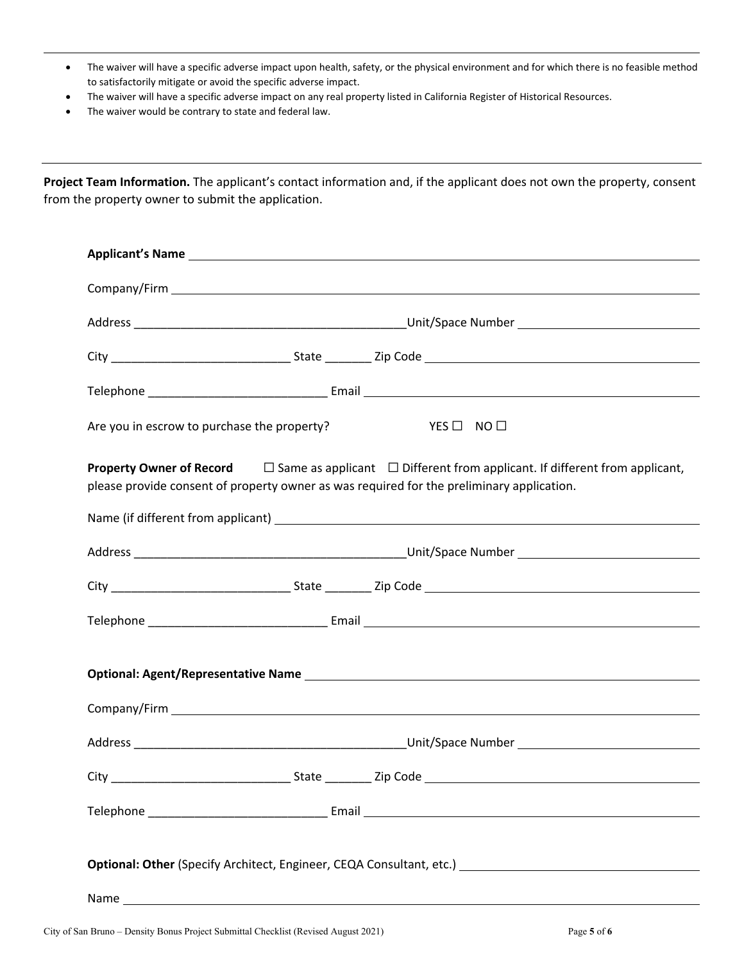- The waiver will have a specific adverse impact upon health, safety, or the physical environment and for which there is no feasible method to satisfactorily mitigate or avoid the specific adverse impact.
- The waiver will have a specific adverse impact on any real property listed in California Register of Historical Resources.
- The waiver would be contrary to state and federal law.

**Project Team Information.** The applicant's contact information and, if the applicant does not own the property, consent from the property owner to submit the application.

| Are you in escrow to purchase the property?<br>$YES \Box NO \Box$                                                                                                                                                         |  |  |  |
|---------------------------------------------------------------------------------------------------------------------------------------------------------------------------------------------------------------------------|--|--|--|
| <b>Property Owner of Record</b> $\square$ Same as applicant $\square$ Different from applicant. If different from applicant,<br>please provide consent of property owner as was required for the preliminary application. |  |  |  |
|                                                                                                                                                                                                                           |  |  |  |
|                                                                                                                                                                                                                           |  |  |  |
|                                                                                                                                                                                                                           |  |  |  |
|                                                                                                                                                                                                                           |  |  |  |
|                                                                                                                                                                                                                           |  |  |  |
|                                                                                                                                                                                                                           |  |  |  |
|                                                                                                                                                                                                                           |  |  |  |
|                                                                                                                                                                                                                           |  |  |  |
|                                                                                                                                                                                                                           |  |  |  |
| Optional: Other (Specify Architect, Engineer, CEQA Consultant, etc.) [1982] [2002] [2003] [2003] [2003] [2003]                                                                                                            |  |  |  |
|                                                                                                                                                                                                                           |  |  |  |